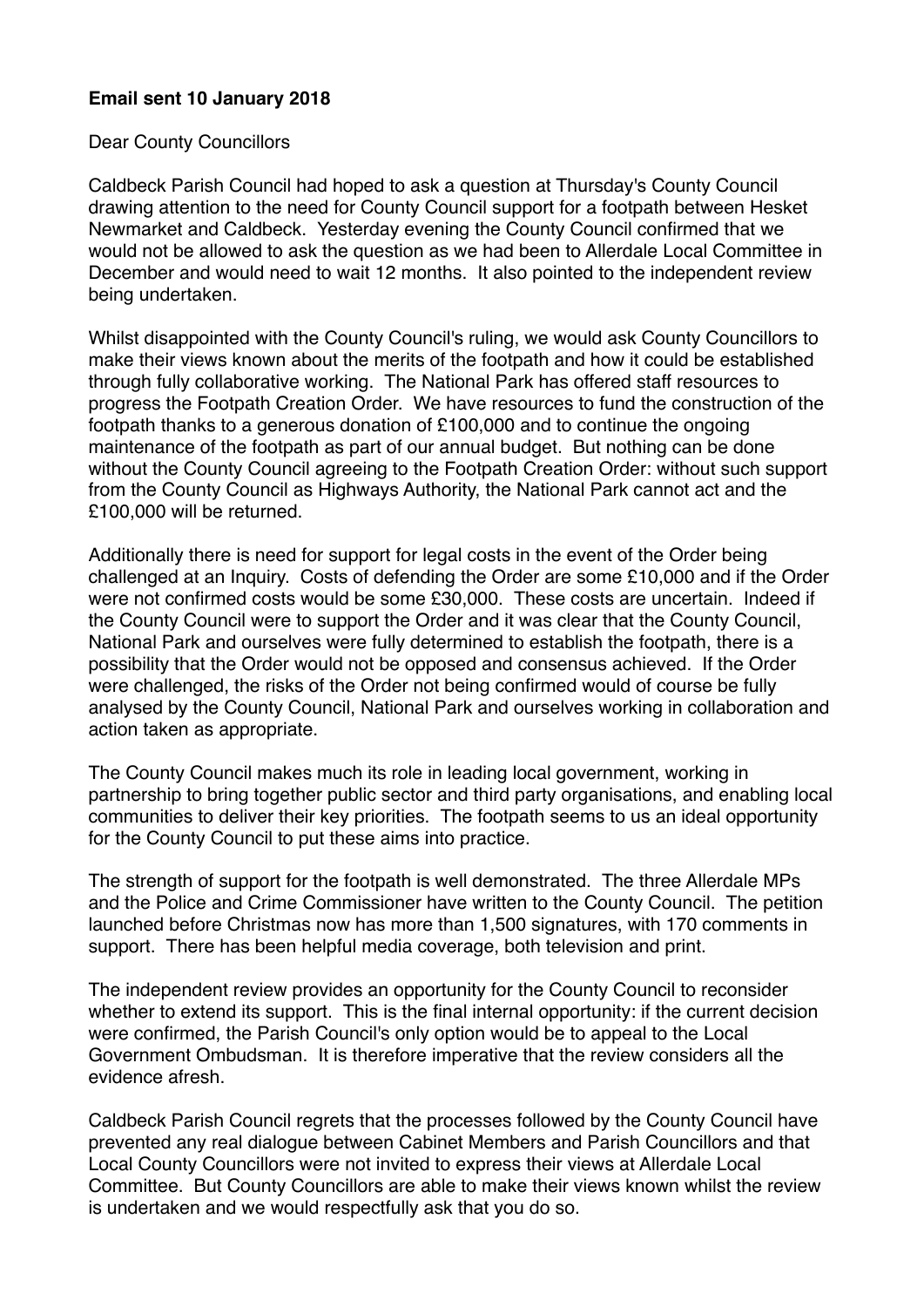## **Email sent 10 January 2018**

## Dear County Councillors

Caldbeck Parish Council had hoped to ask a question at Thursday's County Council drawing attention to the need for County Council support for a footpath between Hesket Newmarket and Caldbeck. Yesterday evening the County Council confirmed that we would not be allowed to ask the question as we had been to Allerdale Local Committee in December and would need to wait 12 months. It also pointed to the independent review being undertaken.

Whilst disappointed with the County Council's ruling, we would ask County Councillors to make their views known about the merits of the footpath and how it could be established through fully collaborative working. The National Park has offered staff resources to progress the Footpath Creation Order. We have resources to fund the construction of the footpath thanks to a generous donation of £100,000 and to continue the ongoing maintenance of the footpath as part of our annual budget. But nothing can be done without the County Council agreeing to the Footpath Creation Order: without such support from the County Council as Highways Authority, the National Park cannot act and the £100,000 will be returned.

Additionally there is need for support for legal costs in the event of the Order being challenged at an Inquiry. Costs of defending the Order are some £10,000 and if the Order were not confirmed costs would be some £30,000. These costs are uncertain. Indeed if the County Council were to support the Order and it was clear that the County Council, National Park and ourselves were fully determined to establish the footpath, there is a possibility that the Order would not be opposed and consensus achieved. If the Order were challenged, the risks of the Order not being confirmed would of course be fully analysed by the County Council, National Park and ourselves working in collaboration and action taken as appropriate.

The County Council makes much its role in leading local government, working in partnership to bring together public sector and third party organisations, and enabling local communities to deliver their key priorities. The footpath seems to us an ideal opportunity for the County Council to put these aims into practice.

The strength of support for the footpath is well demonstrated. The three Allerdale MPs and the Police and Crime Commissioner have written to the County Council. The petition launched before Christmas now has more than 1,500 signatures, with 170 comments in support. There has been helpful media coverage, both television and print.

The independent review provides an opportunity for the County Council to reconsider whether to extend its support. This is the final internal opportunity: if the current decision were confirmed, the Parish Council's only option would be to appeal to the Local Government Ombudsman. It is therefore imperative that the review considers all the evidence afresh.

Caldbeck Parish Council regrets that the processes followed by the County Council have prevented any real dialogue between Cabinet Members and Parish Councillors and that Local County Councillors were not invited to express their views at Allerdale Local Committee. But County Councillors are able to make their views known whilst the review is undertaken and we would respectfully ask that you do so.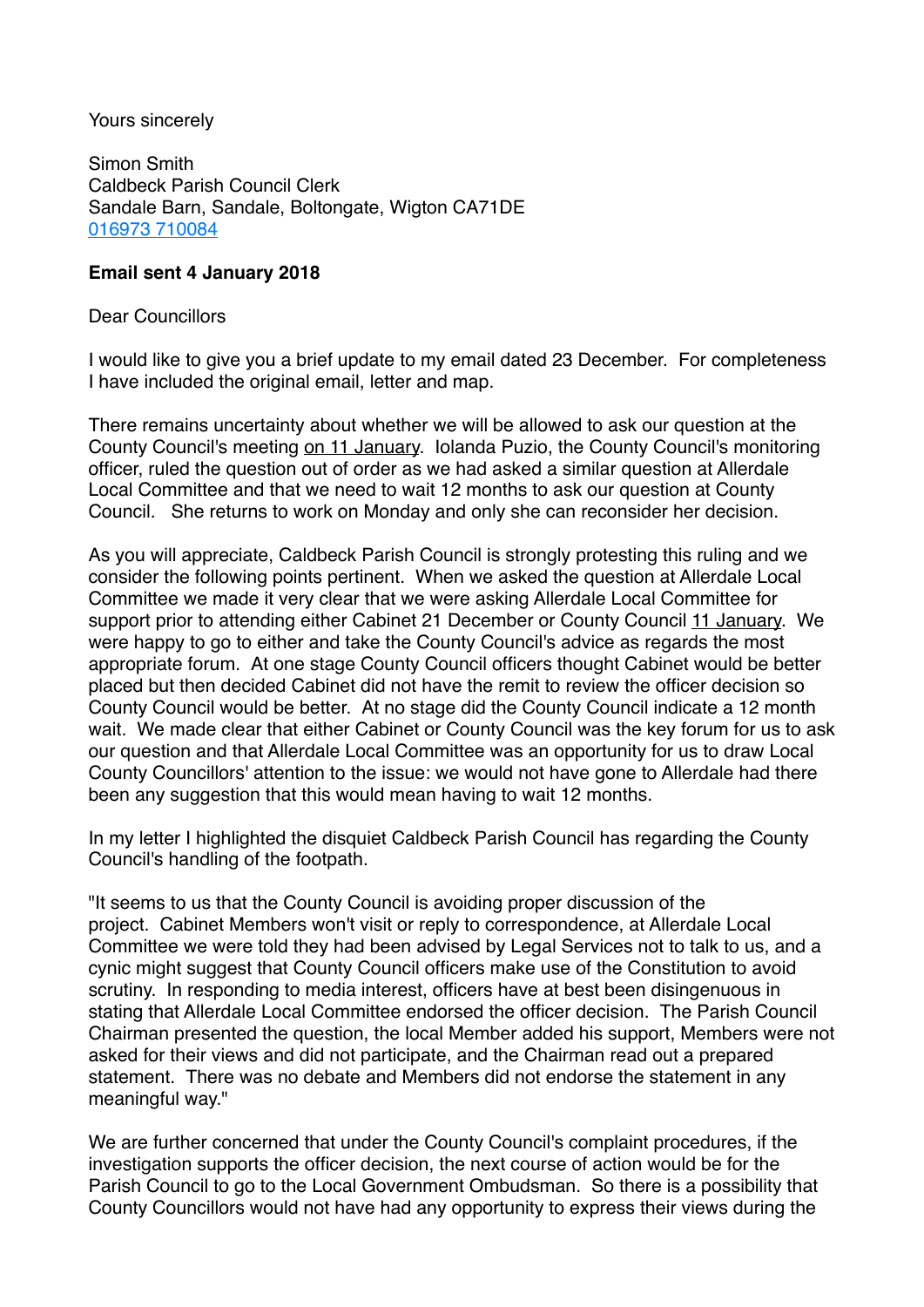Yours sincerely

Simon Smith Caldbeck Parish Council Clerk Sandale Barn, Sandale, Boltongate, Wigton CA71DE 016973 710084

## **Email sent 4 January 2018**

Dear Councillors

I would like to give you a brief update to my email dated 23 December. For completeness I have included the original email, letter and map.

There remains uncertainty about whether we will be allowed to ask our question at the County Council's meeting [on 11 January](x-apple-data-detectors://1). Iolanda Puzio, the County Council's monitoring officer, ruled the question out of order as we had asked a similar question at Allerdale Local Committee and that we need to wait 12 months to ask our question at County Council. She returns to work on Monday and only she can reconsider her decision.

As you will appreciate, Caldbeck Parish Council is strongly protesting this ruling and we consider the following points pertinent. When we asked the question at Allerdale Local Committee we made it very clear that we were asking Allerdale Local Committee for support prior to attending either Cabinet 21 December or County Council [11 January.](x-apple-data-detectors://4) We were happy to go to either and take the County Council's advice as regards the most appropriate forum. At one stage County Council officers thought Cabinet would be better placed but then decided Cabinet did not have the remit to review the officer decision so County Council would be better. At no stage did the County Council indicate a 12 month wait. We made clear that either Cabinet or County Council was the key forum for us to ask our question and that Allerdale Local Committee was an opportunity for us to draw Local County Councillors' attention to the issue: we would not have gone to Allerdale had there been any suggestion that this would mean having to wait 12 months.

In my letter I highlighted the disquiet Caldbeck Parish Council has regarding the County Council's handling of the footpath.

"It seems to us that the County Council is avoiding proper discussion of the project. Cabinet Members won't visit or reply to correspondence, at Allerdale Local Committee we were told they had been advised by Legal Services not to talk to us, and a cynic might suggest that County Council officers make use of the Constitution to avoid scrutiny. In responding to media interest, officers have at best been disingenuous in stating that Allerdale Local Committee endorsed the officer decision. The Parish Council Chairman presented the question, the local Member added his support, Members were not asked for their views and did not participate, and the Chairman read out a prepared statement. There was no debate and Members did not endorse the statement in any meaningful way."

We are further concerned that under the County Council's complaint procedures, if the investigation supports the officer decision, the next course of action would be for the Parish Council to go to the Local Government Ombudsman. So there is a possibility that County Councillors would not have had any opportunity to express their views during the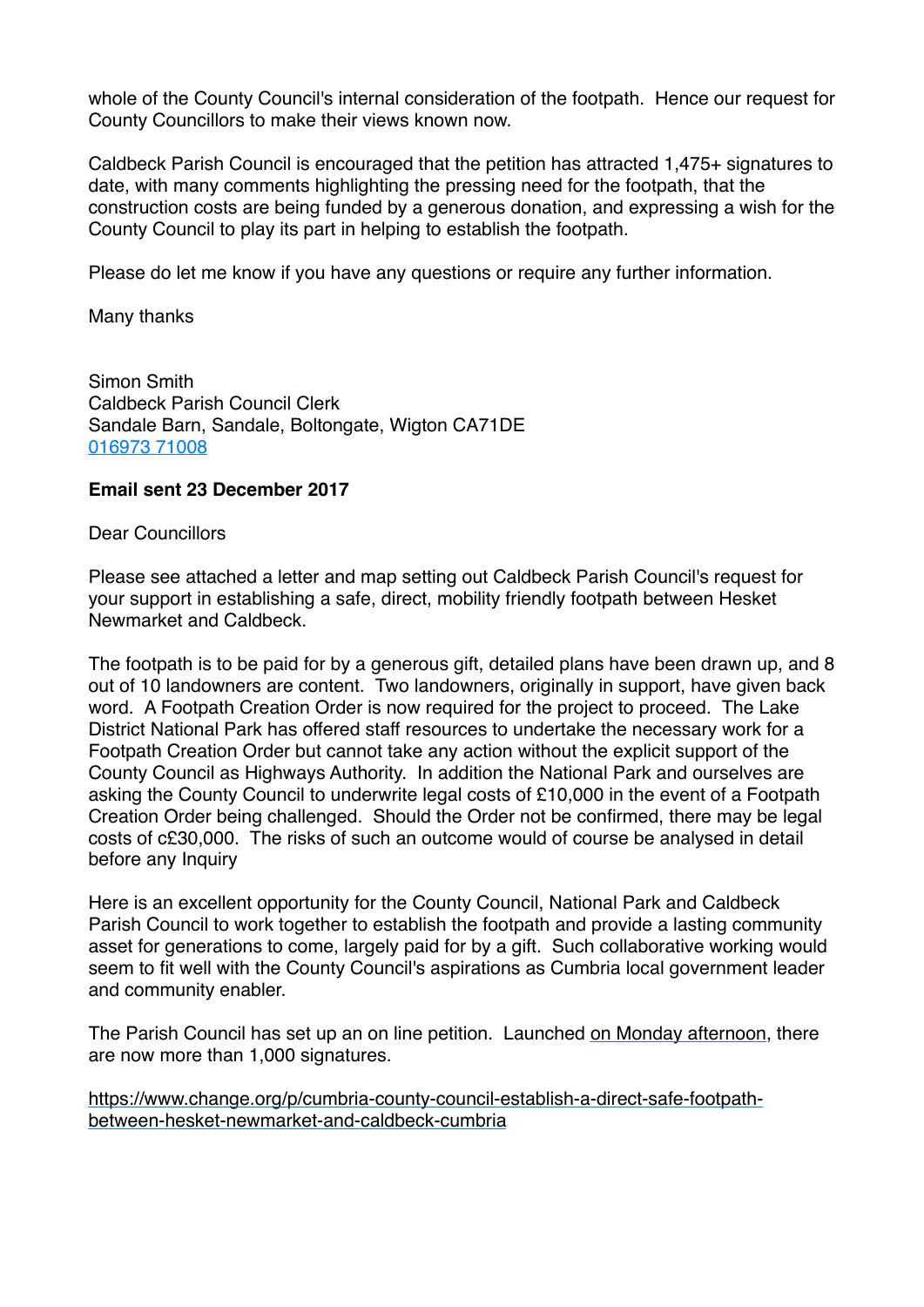whole of the County Council's internal consideration of the footpath. Hence our request for County Councillors to make their views known now.

Caldbeck Parish Council is encouraged that the petition has attracted 1,475+ signatures to date, with many comments highlighting the pressing need for the footpath, that the construction costs are being funded by a generous donation, and expressing a wish for the County Council to play its part in helping to establish the footpath.

Please do let me know if you have any questions or require any further information.

Many thanks

Simon Smith Caldbeck Parish Council Clerk Sandale Barn, Sandale, Boltongate, Wigton CA71DE 016973 71008

## **Email sent 23 December 2017**

Dear Councillors

Please see attached a letter and map setting out Caldbeck Parish Council's request for your support in establishing a safe, direct, mobility friendly footpath between Hesket Newmarket and Caldbeck.

The footpath is to be paid for by a generous gift, detailed plans have been drawn up, and 8 out of 10 landowners are content. Two landowners, originally in support, have given back word. A Footpath Creation Order is now required for the project to proceed. The Lake District National Park has offered staff resources to undertake the necessary work for a Footpath Creation Order but cannot take any action without the explicit support of the County Council as Highways Authority. In addition the National Park and ourselves are asking the County Council to underwrite legal costs of £10,000 in the event of a Footpath Creation Order being challenged. Should the Order not be confirmed, there may be legal costs of c£30,000. The risks of such an outcome would of course be analysed in detail before any Inquiry

Here is an excellent opportunity for the County Council, National Park and Caldbeck Parish Council to work together to establish the footpath and provide a lasting community asset for generations to come, largely paid for by a gift. Such collaborative working would seem to fit well with the County Council's aspirations as Cumbria local government leader and community enabler.

The Parish Council has set up an on line petition. Launched [on Monday afternoon,](x-apple-data-detectors://10) there are now more than 1,000 signatures.

[https://www.change.org/p/cumbria-county-council-establish-a-direct-safe-footpath](https://www.change.org/p/cumbria-county-council-establish-a-direct-safe-footpath-between-hesket-newmarket-and-caldbeck-cumbria)[between-hesket-newmarket-and-caldbeck-cumbria](https://www.change.org/p/cumbria-county-council-establish-a-direct-safe-footpath-between-hesket-newmarket-and-caldbeck-cumbria)